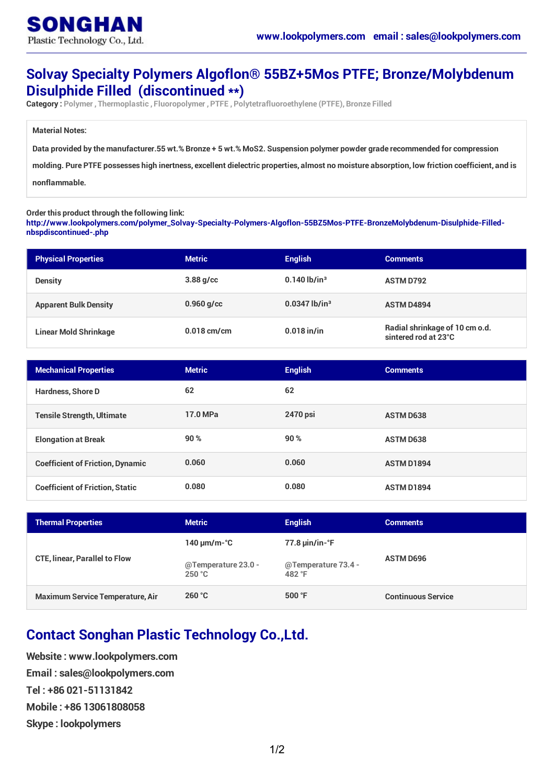## **Solvay Specialty Polymers Algoflon® 55BZ+5Mos PTFE; Bronze/Molybdenum Disulphide Filled (discontinued \*\*)**

**Category : Polymer , Thermoplastic , Fluoropolymer , PTFE , Polytetrafluoroethylene (PTFE), Bronze Filled**

**Material Notes:**

Data provided by the manufacturer.55 wt.% Bronze + 5 wt.% MoS2. Suspension polymer powder grade recommended for compression

molding. Pure PTFE possesses high inertness, excellent dielectric properties, almost no moisture absorption, low friction coefficient, and is

**nonflammable.**

**Order this product through the following link:**

**[http://www.lookpolymers.com/polymer\\_Solvay-Specialty-Polymers-Algoflon-55BZ5Mos-PTFE-BronzeMolybdenum-Disulphide-Filled](http://www.lookpolymers.com/polymer_Solvay-Specialty-Polymers-Algoflon-55BZ5Mos-PTFE-BronzeMolybdenum-Disulphide-Filled-nbspdiscontinued-.php)nbspdiscontinued-.php**

| <b>Physical Properties</b>   | <b>Metric</b> | <b>English</b>              | <b>Comments</b>                                        |
|------------------------------|---------------|-----------------------------|--------------------------------------------------------|
| <b>Density</b>               | $3.88$ g/cc   | $0.140$ lb/in <sup>3</sup>  | <b>ASTM D792</b>                                       |
| <b>Apparent Bulk Density</b> | $0.960$ g/cc  | $0.0347$ lb/in <sup>3</sup> | <b>ASTM D4894</b>                                      |
| <b>Linear Mold Shrinkage</b> | $0.018$ cm/cm | $0.018$ in/in               | Radial shrinkage of 10 cm o.d.<br>sintered rod at 23°C |

| <b>Mechanical Properties</b>            | <b>Metric</b> | <b>English</b> | <b>Comments</b>   |
|-----------------------------------------|---------------|----------------|-------------------|
| <b>Hardness, Shore D</b>                | 62            | 62             |                   |
| <b>Tensile Strength, Ultimate</b>       | 17.0 MPa      | 2470 psi       | <b>ASTM D638</b>  |
| <b>Elongation at Break</b>              | 90%           | 90%            | <b>ASTM D638</b>  |
| <b>Coefficient of Friction, Dynamic</b> | 0.060         | 0.060          | <b>ASTM D1894</b> |
| <b>Coefficient of Friction, Static</b>  | 0.080         | 0.080          | <b>ASTM D1894</b> |

| <b>Thermal Properties</b>               | <b>Metric</b>                 | <b>English</b>                            | <b>Comments</b>           |
|-----------------------------------------|-------------------------------|-------------------------------------------|---------------------------|
| <b>CTE, linear, Parallel to Flow</b>    | 140 $\mu$ m/m-°C              | $77.8 \,\mu\text{in/in-}^{\circ}\text{F}$ | <b>ASTM D696</b>          |
|                                         | @Temperature 23.0 -<br>250 °C | @Temperature 73.4 -<br>482 °F             |                           |
| <b>Maximum Service Temperature, Air</b> | 260 °C                        | 500 $\degree$ F                           | <b>Continuous Service</b> |

## **Contact Songhan Plastic Technology Co.,Ltd.**

**Website : www.lookpolymers.com Email : sales@lookpolymers.com Tel : +86 021-51131842 Mobile : +86 13061808058 Skype : lookpolymers**